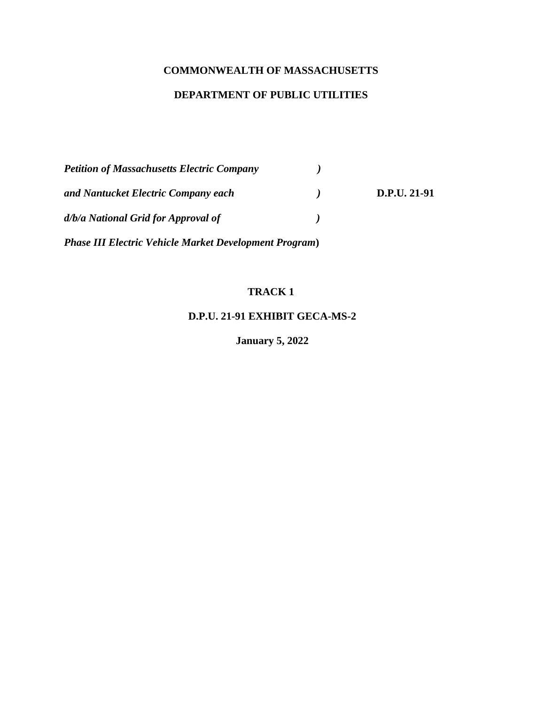## **COMMONWEALTH OF MASSACHUSETTS**

# **DEPARTMENT OF PUBLIC UTILITIES**

| <b>Petition of Massachusetts Electric Company</b>              |              |              |
|----------------------------------------------------------------|--------------|--------------|
| and Nantucket Electric Company each                            | $\mathbf{1}$ | D.P.U. 21-91 |
| d/b/a National Grid for Approval of                            |              |              |
| <b>Phase III Electric Vehicle Market Development Program</b> ) |              |              |

#### **TRACK 1**

**D.P.U. 21-91 EXHIBIT GECA-MS-2**

**January 5, 2022**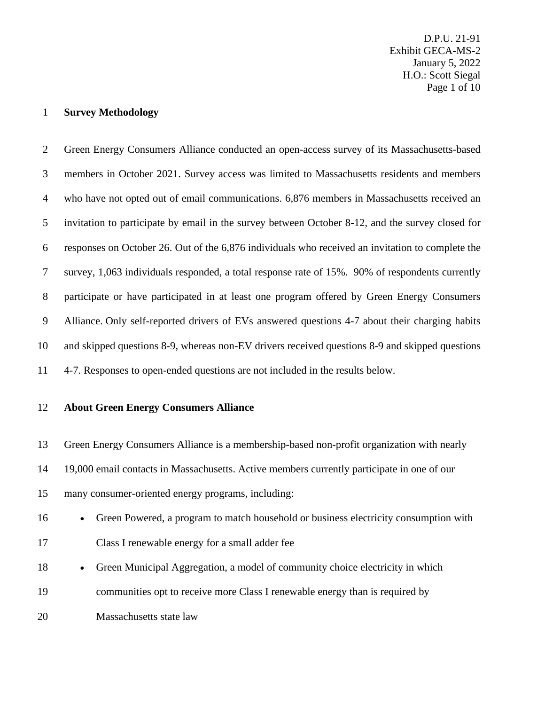D.P.U. 21-91 Exhibit GECA-MS-2 January 5, 2022 H.O.: Scott Siegal Page 1 of 10

#### **Survey Methodology**

 Green Energy Consumers Alliance conducted an open-access survey of its Massachusetts-based members in October 2021. Survey access was limited to Massachusetts residents and members who have not opted out of email communications. 6,876 members in Massachusetts received an invitation to participate by email in the survey between October 8-12, and the survey closed for responses on October 26. Out of the 6,876 individuals who received an invitation to complete the survey, 1,063 individuals responded, a total response rate of 15%. 90% of respondents currently participate or have participated in at least one program offered by Green Energy Consumers Alliance. Only self-reported drivers of EVs answered questions 4-7 about their charging habits and skipped questions 8-9, whereas non-EV drivers received questions 8-9 and skipped questions 4-7. Responses to open-ended questions are not included in the results below.

**About Green Energy Consumers Alliance**

 Green Energy Consumers Alliance is a membership-based non-profit organization with nearly 19,000 email contacts in Massachusetts. Active members currently participate in one of our many consumer-oriented energy programs, including:

- Green Powered, a program to match household or business electricity consumption with Class I renewable energy for a small adder fee
- Green Municipal Aggregation, a model of community choice electricity in which
- communities opt to receive more Class I renewable energy than is required by
- Massachusetts state law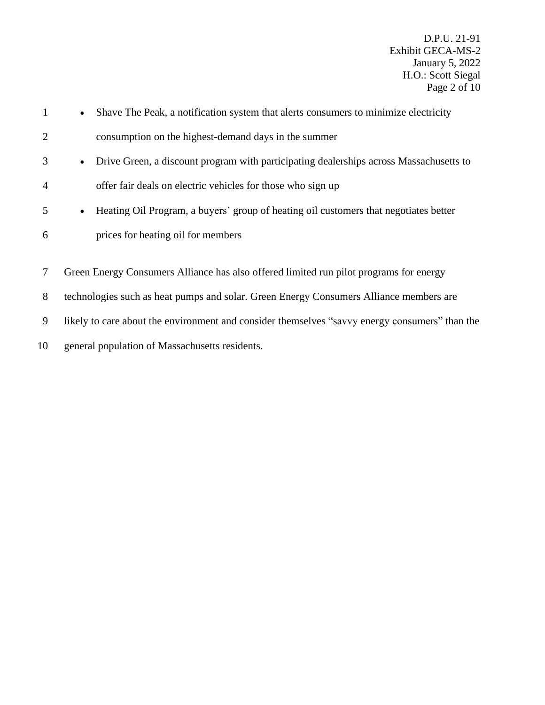D.P.U. 21-91 Exhibit GECA-MS-2 January 5, 2022 H.O.: Scott Siegal Page 2 of 10

| $\mathbf{1}$   | Shave The Peak, a notification system that alerts consumers to minimize electricity                 |
|----------------|-----------------------------------------------------------------------------------------------------|
| $\overline{2}$ | consumption on the highest-demand days in the summer                                                |
| 3              | Drive Green, a discount program with participating dealerships across Massachusetts to<br>$\bullet$ |
| $\overline{4}$ | offer fair deals on electric vehicles for those who sign up                                         |
| 5              | Heating Oil Program, a buyers' group of heating oil customers that negotiates better<br>$\bullet$   |
| 6              | prices for heating oil for members                                                                  |
|                |                                                                                                     |
| $\tau$         | Green Energy Consumers Alliance has also offered limited run pilot programs for energy              |
| 8              | technologies such as heat pumps and solar. Green Energy Consumers Alliance members are              |
| 9              | likely to care about the environment and consider themselves "savvy energy consumers" than the      |

10 general population of Massachusetts residents.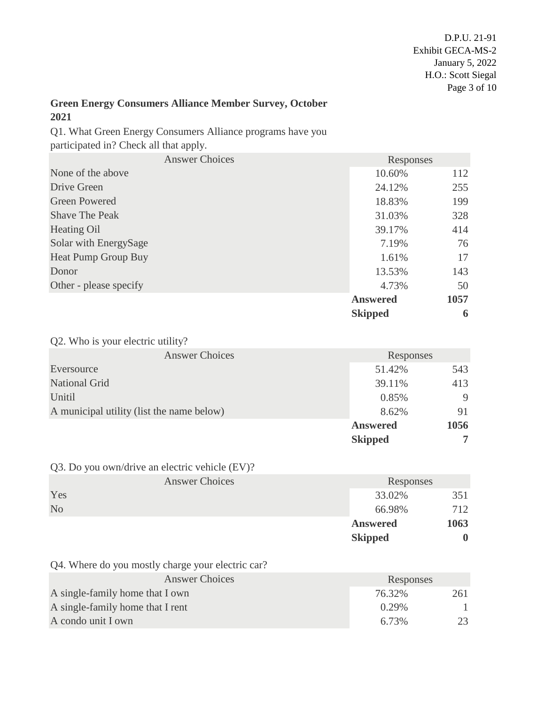### **Green Energy Consumers Alliance Member Survey, October 2021**

Q1. What Green Energy Consumers Alliance programs have you participated in? Check all that apply.

| <b>Answer Choices</b>  | Responses       |      |
|------------------------|-----------------|------|
| None of the above      | 10.60%          | 112  |
| Drive Green            | 24.12%          | 255  |
| <b>Green Powered</b>   | 18.83%          | 199  |
| <b>Shave The Peak</b>  | 31.03%          | 328  |
| Heating Oil            | 39.17%          | 414  |
| Solar with EnergySage  | 7.19%           | 76   |
| Heat Pump Group Buy    | 1.61%           | 17   |
| Donor                  | 13.53%          | 143  |
| Other - please specify | 4.73%           | 50   |
|                        | <b>Answered</b> | 1057 |
|                        | <b>Skipped</b>  | 6    |

Q2. Who is your electric utility?

| <b>Answer Choices</b>                     | Responses      |      |
|-------------------------------------------|----------------|------|
| Eversource                                | 51.42%         | 543  |
| <b>National Grid</b>                      | 39.11%         | 413  |
| Unitil                                    | 0.85%          | 9    |
| A municipal utility (list the name below) | 8.62%          |      |
|                                           | Answered       | 1056 |
|                                           | <b>Skipped</b> |      |

Q3. Do you own/drive an electric vehicle (EV)?

|                | <b>Answer Choices</b> | Responses       |      |
|----------------|-----------------------|-----------------|------|
| Yes            |                       | 33.02%          | 351  |
| N <sub>o</sub> |                       | 66.98%          | 712  |
|                |                       | <b>Answered</b> | 1063 |
|                |                       | <b>Skipped</b>  |      |

Q4. Where do you mostly charge your electric car?

| <b>Answer Choices</b>            | Responses |     |
|----------------------------------|-----------|-----|
| A single-family home that I own  | 76.32%    | 261 |
| A single-family home that I rent | 0.29%     |     |
| A condo unit I own               | 6.73%     | 23  |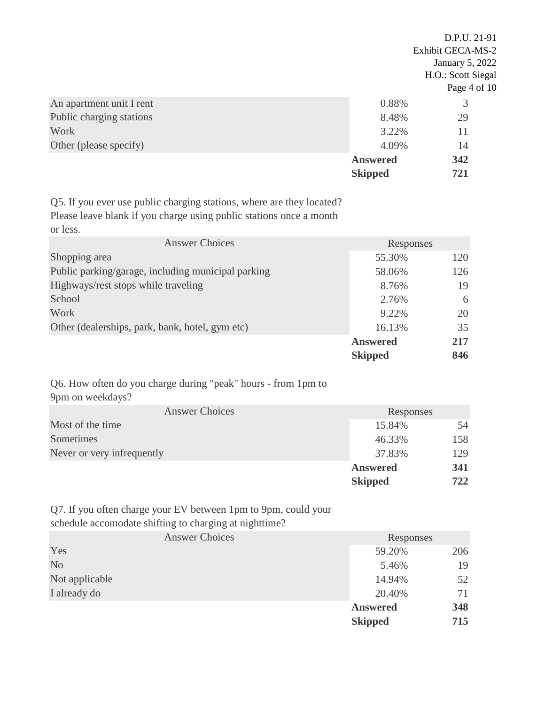|                          |                 | D.P.U. 21-91<br>Exhibit GECA-MS-2<br>January 5, 2022<br>H.O.: Scott Siegal |
|--------------------------|-----------------|----------------------------------------------------------------------------|
|                          |                 | Page 4 of 10                                                               |
| An apartment unit I rent | 0.88%           | 3                                                                          |
| Public charging stations | 8.48%           | 29                                                                         |
| <b>Work</b>              | 3.22%           | 11                                                                         |
| Other (please specify)   | 4.09%           | 14                                                                         |
|                          | <b>Answered</b> | 342                                                                        |
|                          | <b>Skipped</b>  | 721                                                                        |

Q5. If you ever use public charging stations, where are they located? Please leave blank if you charge using public stations once a month or less.

| <b>Answer Choices</b>                              | Responses       |     |
|----------------------------------------------------|-----------------|-----|
| Shopping area                                      | 55.30%          | 120 |
| Public parking/garage, including municipal parking | 58.06%          | 126 |
| Highways/rest stops while traveling                | 8.76%           | 19  |
| School                                             | 2.76%           | 6   |
| Work                                               | 9.22%           | 20  |
| Other (dealerships, park, bank, hotel, gym etc)    | 16.13%          | 35  |
|                                                    | <b>Answered</b> | 217 |
|                                                    | <b>Skipped</b>  | 846 |

Q6. How often do you charge during "peak" hours - from 1pm to 9pm on weekdays?

| <b>Answer Choices</b>      | Responses      |     |
|----------------------------|----------------|-----|
| Most of the time           | 15.84%         | 54  |
| Sometimes                  | 46.33%         | 158 |
| Never or very infrequently | 37.83%         | 129 |
|                            | Answered       | 341 |
|                            | <b>Skipped</b> | 722 |

Q7. If you often charge your EV between 1pm to 9pm, could your schedule accomodate shifting to charging at nighttime?

|                | <b>Answer Choices</b> | Responses       |     |
|----------------|-----------------------|-----------------|-----|
| Yes            |                       | 59.20%          | 206 |
| N <sub>o</sub> |                       | 5.46%           | 19  |
| Not applicable |                       | 14.94%          | 52  |
| I already do   |                       | 20.40%          | 71  |
|                |                       | <b>Answered</b> | 348 |
|                |                       | <b>Skipped</b>  | 715 |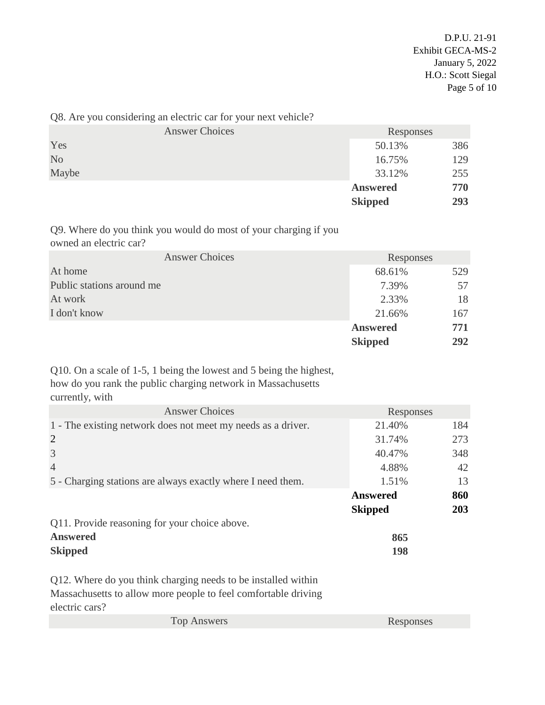|  | Q8. Are you considering an electric car for your next vehicle? |                |  |  |
|--|----------------------------------------------------------------|----------------|--|--|
|  |                                                                | Angwer Choices |  |  |

|                |                       | <b>Skipped</b>  | 293 |
|----------------|-----------------------|-----------------|-----|
|                |                       | <b>Answered</b> | 770 |
| Maybe          |                       | 33.12%          | 255 |
| N <sub>o</sub> |                       | 16.75%          | 129 |
| Yes            |                       | 50.13%          | 386 |
|                | <b>Answer Choices</b> | Responses       |     |
|                |                       |                 |     |

Q9. Where do you think you would do most of your charging if you owned an electric car?

| <b>Answer Choices</b>     | Responses       |     |
|---------------------------|-----------------|-----|
| At home                   | 68.61%          | 529 |
| Public stations around me | 7.39%           | 57  |
| At work                   | 2.33%           | 18  |
| I don't know              | 21.66%          | 167 |
|                           | <b>Answered</b> | 771 |
|                           | <b>Skipped</b>  | 292 |

Q10. On a scale of 1-5, 1 being the lowest and 5 being the highest, how do you rank the public charging network in Massachusetts currently, with

| <b>Answer Choices</b>                                        | Responses       |     |
|--------------------------------------------------------------|-----------------|-----|
| 1 - The existing network does not meet my needs as a driver. | 21.40%          | 184 |
| $\overline{2}$                                               | 31.74%          | 273 |
| 3                                                            | 40.47%          | 348 |
| $\overline{4}$                                               | 4.88%           | 42  |
| 5 - Charging stations are always exactly where I need them.  | 1.51%           | 13  |
|                                                              | <b>Answered</b> | 860 |
|                                                              | <b>Skipped</b>  | 203 |
| Q11. Provide reasoning for your choice above.                |                 |     |
| <b>Answered</b>                                              | 865             |     |
| <b>Skipped</b>                                               | 198             |     |
|                                                              |                 |     |

Q12. Where do you think charging needs to be installed within Massachusetts to allow more people to feel comfortable driving electric cars?

| <b>Top Answers</b> | Responses |
|--------------------|-----------|
|--------------------|-----------|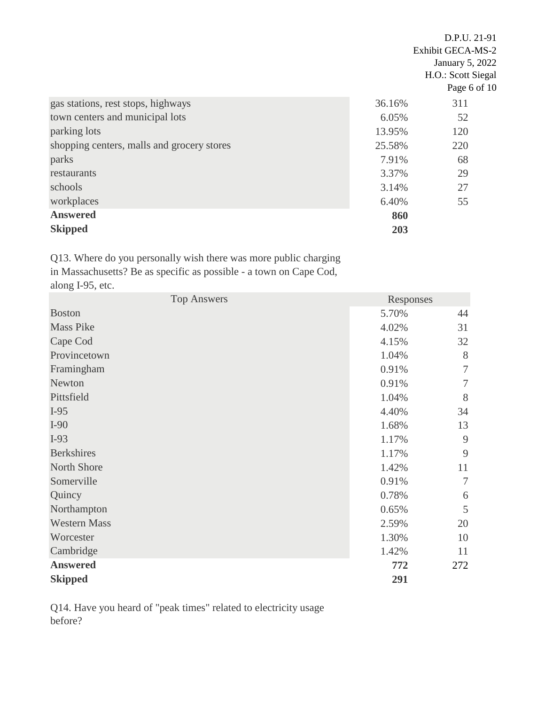|                                            |        | D.P.U. 21-91       |  |
|--------------------------------------------|--------|--------------------|--|
|                                            |        | Exhibit GECA-MS-2  |  |
|                                            |        | January 5, 2022    |  |
|                                            |        | H.O.: Scott Siegal |  |
|                                            |        | Page 6 of 10       |  |
| gas stations, rest stops, highways         | 36.16% | 311                |  |
| town centers and municipal lots            | 6.05%  | 52                 |  |
| parking lots                               | 13.95% | 120                |  |
| shopping centers, malls and grocery stores | 25.58% | 220                |  |
| parks                                      | 7.91%  | 68                 |  |
| restaurants                                | 3.37%  | 29                 |  |
| schools                                    | 3.14%  | 27                 |  |
| workplaces                                 | 6.40%  | 55                 |  |
| <b>Answered</b>                            | 860    |                    |  |
| <b>Skipped</b>                             | 203    |                    |  |

Q13. Where do you personally wish there was more public charging in Massachusetts? Be as specific as possible - a town on Cape Cod, along I-95, etc.

| <b>Top Answers</b>  | Responses |        |
|---------------------|-----------|--------|
| <b>Boston</b>       | 5.70%     | 44     |
| <b>Mass Pike</b>    | 4.02%     | 31     |
| Cape Cod            | 4.15%     | 32     |
| Provincetown        | 1.04%     | 8      |
| Framingham          | 0.91%     | $\tau$ |
| Newton              | 0.91%     | 7      |
| Pittsfield          | 1.04%     | 8      |
| $I-95$              | 4.40%     | 34     |
| $I-90$              | 1.68%     | 13     |
| $I-93$              | 1.17%     | 9      |
| <b>Berkshires</b>   | 1.17%     | 9      |
| North Shore         | 1.42%     | 11     |
| Somerville          | 0.91%     | 7      |
| Quincy              | 0.78%     | 6      |
| Northampton         | 0.65%     | 5      |
| <b>Western Mass</b> | 2.59%     | 20     |
| Worcester           | 1.30%     | 10     |
| Cambridge           | 1.42%     | 11     |
| <b>Answered</b>     | 772       | 272    |
| <b>Skipped</b>      | 291       |        |

Q14. Have you heard of "peak times" related to electricity usage before?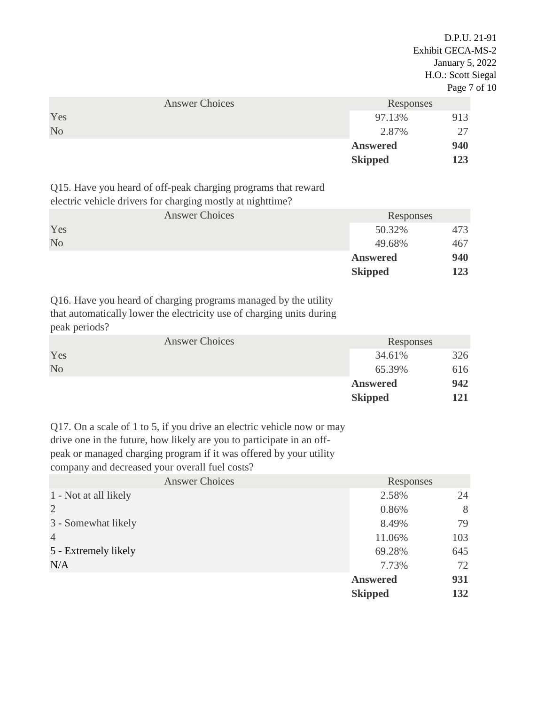D.P.U. 21-91 Exhibit GECA-MS-2 January 5, 2022 H.O.: Scott Siegal Page 7 of 10

|                | <b>Answer Choices</b> | Responses       |     |
|----------------|-----------------------|-----------------|-----|
| Yes            |                       | 97.13%          | 913 |
| N <sub>o</sub> |                       | 2.87%           |     |
|                |                       | <b>Answered</b> | 940 |
|                |                       | <b>Skipped</b>  | 123 |

Q15. Have you heard of off-peak charging programs that reward

electric vehicle drivers for charging mostly at nighttime?

|                | <b>Answer Choices</b> | Responses       |     |
|----------------|-----------------------|-----------------|-----|
| Yes            |                       | 50.32%          | 473 |
| N <sub>o</sub> |                       | 49.68%          | 467 |
|                |                       | <b>Answered</b> | 940 |
|                |                       | <b>Skipped</b>  | 123 |

Q16. Have you heard of charging programs managed by the utility that automatically lower the electricity use of charging units during peak periods?

|                | <b>Answer Choices</b> | Responses       |     |
|----------------|-----------------------|-----------------|-----|
| Yes            |                       | 34.61%          | 326 |
| N <sub>o</sub> |                       | 65.39%          | 616 |
|                |                       | <b>Answered</b> | 942 |
|                |                       | <b>Skipped</b>  | 121 |

Q17. On a scale of 1 to 5, if you drive an electric vehicle now or may drive one in the future, how likely are you to participate in an offpeak or managed charging program if it was offered by your utility company and decreased your overall fuel costs?

| <b>Answer Choices</b> | Responses       |     |
|-----------------------|-----------------|-----|
| 1 - Not at all likely | 2.58%           | 24  |
| $\overline{2}$        | 0.86%           | 8   |
| 3 - Somewhat likely   | 8.49%           | 79  |
| $\overline{4}$        | 11.06%          | 103 |
| 5 - Extremely likely  | 69.28%          | 645 |
| N/A                   | 7.73%           | 72  |
|                       | <b>Answered</b> | 931 |
|                       | <b>Skipped</b>  | 132 |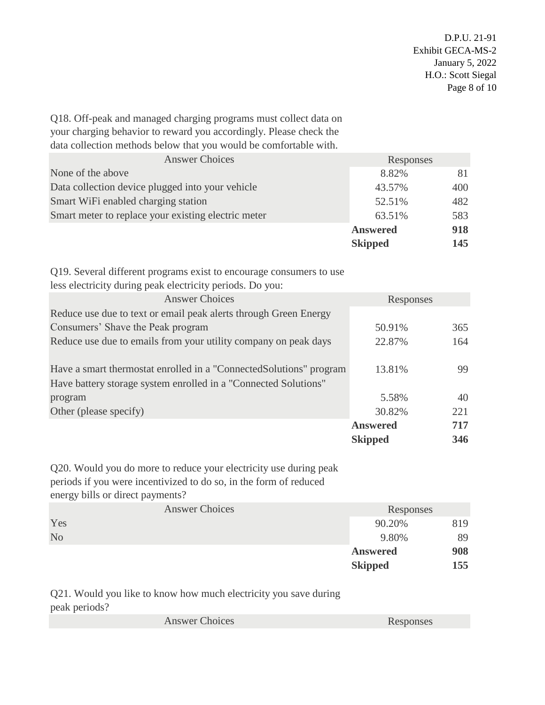Q18. Off-peak and managed charging programs must collect data on your charging behavior to reward you accordingly. Please check the data collection methods below that you would be comfortable with.

| <b>Answer Choices</b>                               | Responses       |     |
|-----------------------------------------------------|-----------------|-----|
| None of the above                                   | 8.82%           | 81  |
| Data collection device plugged into your vehicle    | 43.57%          | 400 |
| Smart WiFi enabled charging station                 | 52.51%          | 482 |
| Smart meter to replace your existing electric meter | 63.51%          | 583 |
|                                                     | <b>Answered</b> | 918 |
|                                                     | <b>Skipped</b>  | 145 |

Q19. Several different programs exist to encourage consumers to use less electricity during peak electricity periods. Do you:

| <b>Answer Choices</b>                                                                                                                  | Responses       |     |
|----------------------------------------------------------------------------------------------------------------------------------------|-----------------|-----|
| Reduce use due to text or email peak alerts through Green Energy                                                                       |                 |     |
| Consumers' Shave the Peak program                                                                                                      | 50.91%          | 365 |
| Reduce use due to emails from your utility company on peak days                                                                        | 22.87%          | 164 |
| Have a smart thermostat enrolled in a "Connected Solutions" program<br>Have battery storage system enrolled in a "Connected Solutions" | 13.81%          | 99  |
| program                                                                                                                                | 5.58%           | 40  |
| Other (please specify)                                                                                                                 | 30.82%          | 221 |
|                                                                                                                                        | <b>Answered</b> | 717 |
|                                                                                                                                        | <b>Skipped</b>  | 346 |

Q20. Would you do more to reduce your electricity use during peak periods if you were incentivized to do so, in the form of reduced energy bills or direct payments?

|                |                       | <b>Skipped</b>  | 155 |
|----------------|-----------------------|-----------------|-----|
|                |                       | <b>Answered</b> | 908 |
| N <sub>o</sub> |                       | 9.80%           | 89  |
| Yes            |                       | 90.20%          | 819 |
|                | <b>Answer Choices</b> | Responses       |     |
| $\tilde{}$     |                       |                 |     |

Q21. Would you like to know how much electricity you save during peak periods?

| <b>Answer Choices</b> | Responses |
|-----------------------|-----------|
|-----------------------|-----------|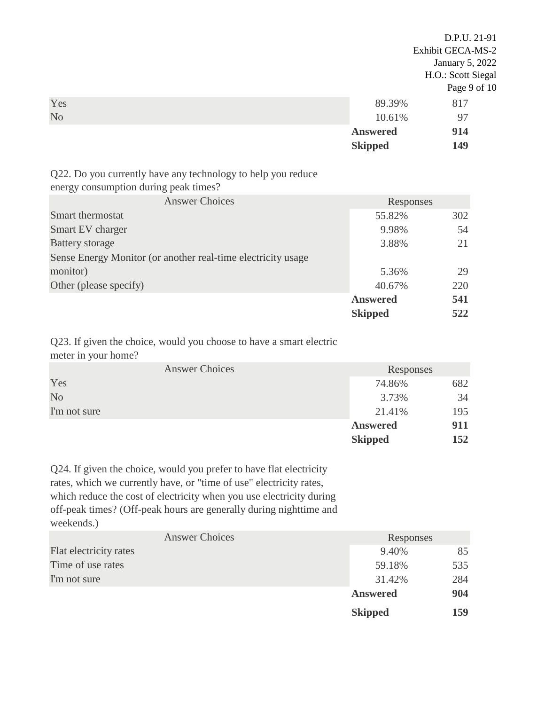D.P.U. 21-91 Exhibit GECA-MS-2 January 5, 2022 H.O.: Scott Siegal Page 9 of 10 **The Second Second Second Second Second Second Second Second Second Second Second Second Second Second Second S** No  $10.61\%$  97 **Answered 914 Skipped 149**

Q22. Do you currently have any technology to help you reduce energy consumption during peak times?

|                        | <b>Answer Choices</b>                                        | Responses       |     |
|------------------------|--------------------------------------------------------------|-----------------|-----|
| Smart thermostat       |                                                              | 55.82%          | 302 |
| Smart EV charger       |                                                              | 9.98%           | 54  |
| <b>Battery storage</b> |                                                              | 3.88%           | 21  |
|                        | Sense Energy Monitor (or another real-time electricity usage |                 |     |
| monitor)               |                                                              | 5.36%           | 29  |
| Other (please specify) |                                                              | 40.67%          | 220 |
|                        |                                                              | <b>Answered</b> | 541 |
|                        |                                                              | <b>Skipped</b>  | 522 |

Q23. If given the choice, would you choose to have a smart electric meter in your home?

|                | <b>Answer Choices</b> | Responses       |     |  |
|----------------|-----------------------|-----------------|-----|--|
| Yes            |                       | 74.86%          | 682 |  |
| N <sub>o</sub> |                       | 3.73%           | 34  |  |
| I'm not sure   |                       | 21.41%          | 195 |  |
|                |                       | <b>Answered</b> | 911 |  |
|                |                       | <b>Skipped</b>  | 152 |  |

Q24. If given the choice, would you prefer to have flat electricity rates, which we currently have, or "time of use" electricity rates, which reduce the cost of electricity when you use electricity during off-peak times? (Off-peak hours are generally during nighttime and weekends.)

| <b>Answer Choices</b>  | Responses       |     |
|------------------------|-----------------|-----|
| Flat electricity rates | 9.40%           | 85  |
| Time of use rates      | 59.18%          | 535 |
| I'm not sure           | 31.42%          | 284 |
|                        | <b>Answered</b> | 904 |
|                        | <b>Skipped</b>  | 159 |